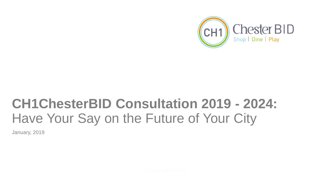

# **CH1ChesterBID Consultation 2019 - 2024:**  Have Your Say on the Future of Your City

January, 2019

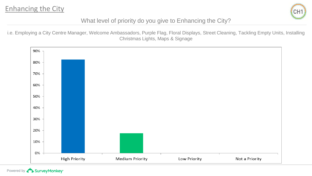

### What level of priority do you give to Enhancing the City?

i.e. Employing a City Centre Manager, Welcome Ambassadors, Purple Flag, Floral Displays, Street Cleaning, Tackling Empty Units, Installing Christmas Lights, Maps & Signage

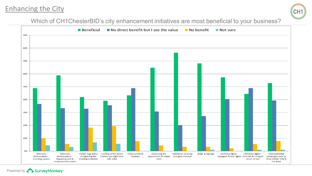# Enhancing the City



Which of CH1ChesterBID's city enhancement initiatives are most beneficial to your business?



Powered by **BurveyMonkey**<sup>\*</sup>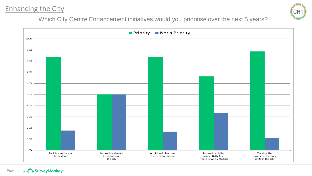# Enhancing the City



Which City Centre Enhancement initiatives would you prioritise over the next 5 years?

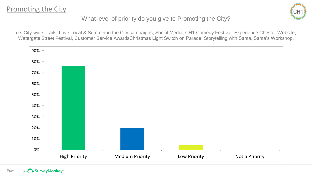

What level of priority do you give to Promoting the City?

i.e. City-wide Trails, Love Local & Summer in the City campaigns, Social Media, CH1 Comedy Festival, Experience Chester Website, Watergate Street Festival, Customer Service AwardsChristmas Light Switch on Parade, Storytelling with Santa, Santa's Workshop.

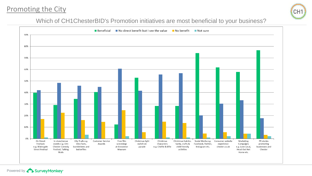## Promoting the City



#### Which of CH1ChesterBID's Promotion initiatives are most beneficial to your business?

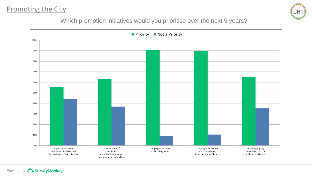# Promoting the City

Powered by **BurveyMonkey** 



#### Which promotion initiatives would you prioritise over the next 5 years?

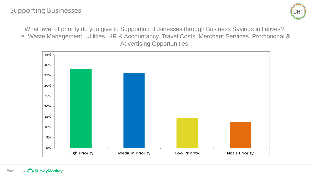

What level of priority do you give to Supporting Businesses through Business Savings initiatives? i.e. Waste Management, Utilities, HR & Accountancy, Travel Costs, Merchant Services, Promotional & Advertising Opportunities

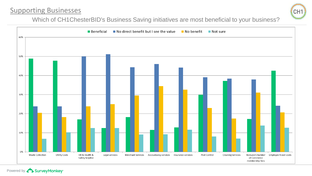# Supporting Businesses



Which of CH1ChesterBID's Business Saving initiatives are most beneficial to your business?

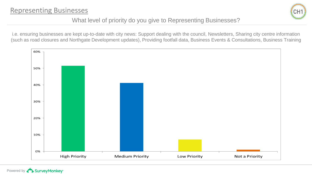

## What level of priority do you give to Representing Businesses?

i.e. ensuring businesses are kept up-to-date with city news: Support dealing with the council, Newsletters, Sharing city centre information (such as road closures and Northgate Development updates), Providing footfall data, Business Events & Consultations, Business Training

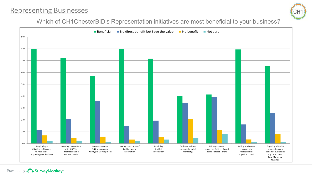# Representing Businesses



#### Which of CH1ChesterBID's Representation initiatives are most beneficial to your business?

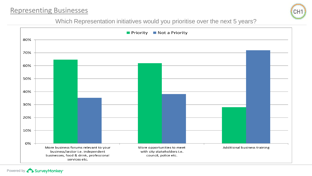# Representing Businesses



#### Which Representation initiatives would you prioritise over the next 5 years?

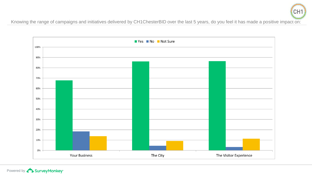

Knowing the range of campaigns and initiatives delivered by CH1ChesterBID over the last 5 years, do you feel it has made a positive impact on:



Powered by **D** Survey Monkey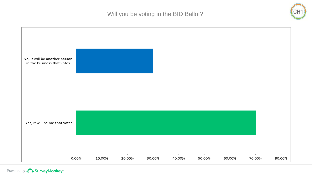Will you be voting in the BID Ballot?

CH<sub>1</sub>



Powered by **Concreter**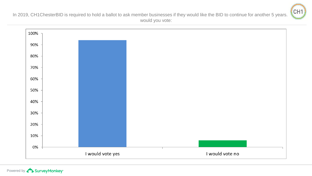

In 2019, CH1ChesterBID is required to hold a ballot to ask member businesses if they would like the BID to continue for another 5 years. would you vote: